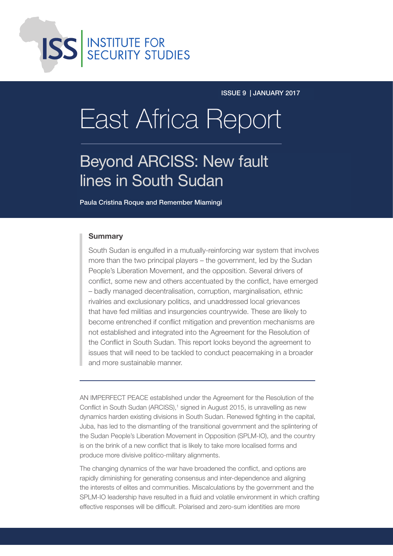

issue 9 | january 2017

# **East Africa Report**

## Beyond ARCISS: New fault lines in South Sudan

Paula Cristina Roque and Remember Miamingi

### **Summary**

South Sudan is engulfed in a mutually-reinforcing war system that involves more than the two principal players – the government, led by the Sudan People's Liberation Movement, and the opposition. Several drivers of conflict, some new and others accentuated by the conflict, have emerged – badly managed decentralisation, corruption, marginalisation, ethnic rivalries and exclusionary politics, and unaddressed local grievances that have fed militias and insurgencies countrywide. These are likely to become entrenched if conflict mitigation and prevention mechanisms are not established and integrated into the Agreement for the Resolution of the Conflict in South Sudan. This report looks beyond the agreement to issues that will need to be tackled to conduct peacemaking in a broader and more sustainable manner.

AN IMPERFECT PEACE established under the Agreement for the Resolution of the Conflict in South Sudan (ARCISS),<sup>1</sup> signed in August 2015, is unravelling as new dynamics harden existing divisions in South Sudan. Renewed fighting in the capital, Juba, has led to the dismantling of the transitional government and the splintering of the Sudan People's Liberation Movement in Opposition (SPLM-IO), and the country is on the brink of a new conflict that is likely to take more localised forms and produce more divisive politico-military alignments.

The changing dynamics of the war have broadened the conflict, and options are rapidly diminishing for generating consensus and inter-dependence and aligning the interests of elites and communities. Miscalculations by the government and the SPLM-IO leadership have resulted in a fluid and volatile environment in which crafting effective responses will be difficult. Polarised and zero-sum identities are more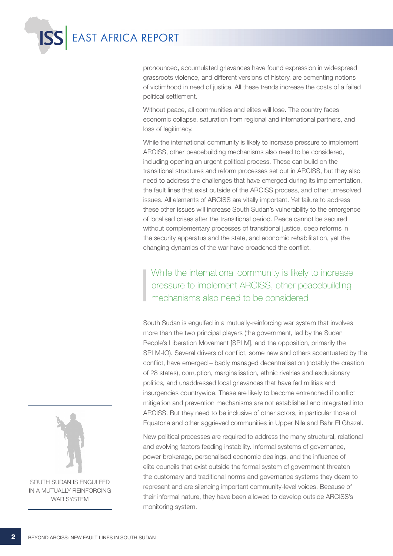

pronounced, accumulated grievances have found expression in widespread grassroots violence, and different versions of history, are cementing notions of victimhood in need of justice. All these trends increase the costs of a failed political settlement.

Without peace, all communities and elites will lose. The country faces economic collapse, saturation from regional and international partners, and loss of legitimacy.

While the international community is likely to increase pressure to implement ARCISS, other peacebuilding mechanisms also need to be considered, including opening an urgent political process. These can build on the transitional structures and reform processes set out in ARCISS, but they also need to address the challenges that have emerged during its implementation, the fault lines that exist outside of the ARCISS process, and other unresolved issues. All elements of ARCISS are vitally important. Yet failure to address these other issues will increase South Sudan's vulnerability to the emergence of localised crises after the transitional period. Peace cannot be secured without complementary processes of transitional justice, deep reforms in the security apparatus and the state, and economic rehabilitation, yet the changing dynamics of the war have broadened the conflict.

While the international community is likely to increase pressure to implement ARCISS, other peacebuilding mechanisms also need to be considered

South Sudan is engulfed in a mutually-reinforcing war system that involves more than the two principal players (the government, led by the Sudan People's Liberation Movement [SPLM], and the opposition, primarily the SPLM-IO). Several drivers of conflict, some new and others accentuated by the conflict, have emerged – badly managed decentralisation (notably the creation of 28 states), corruption, marginalisation, ethnic rivalries and exclusionary politics, and unaddressed local grievances that have fed militias and insurgencies countrywide. These are likely to become entrenched if conflict mitigation and prevention mechanisms are not established and integrated into ARCISS. But they need to be inclusive of other actors, in particular those of Equatoria and other aggrieved communities in Upper Nile and Bahr El Ghazal.

New political processes are required to address the many structural, relational and evolving factors feeding instability. Informal systems of governance, power brokerage, personalised economic dealings, and the influence of elite councils that exist outside the formal system of government threaten the customary and traditional norms and governance systems they deem to represent and are silencing important community-level voices. Because of their informal nature, they have been allowed to develop outside ARCISS's monitoring system.



in a mutually-reinforcing war system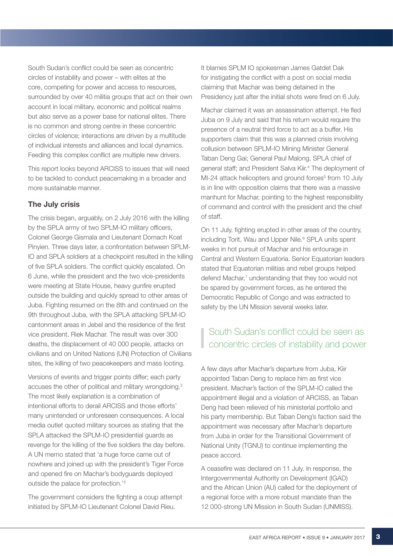South Sudan's conflict could be seen as concentric circles of instability and power – with elites at the core, competing for power and access to resources, surrounded by over 40 militia groups that act on their own account in local military, economic and political realms but also serve as a power base for national elites. There is no common and strong centre in these concentric circles of violence; interactions are driven by a multitude of individual interests and alliances and local dynamics. Feeding this complex conflict are multiple new drivers.

This report looks beyond ARCISS to issues that will need to be tackled to conduct peacemaking in a broader and more sustainable manner.

### The July crisis

The crisis began, arguably, on 2 July 2016 with the killing by the SPLA army of two SPLM-IO military officers, Colonel George Gismala and Lieutenant Domach Koat Pinyien. Three days later, a confrontation between SPLM-IO and SPLA soldiers at a checkpoint resulted in the killing of five SPLA soldiers. The conflict quickly escalated. On 6 June, while the president and the two vice-presidents were meeting at State House, heavy gunfire erupted outside the building and quickly spread to other areas of Juba. Fighting resumed on the 8th and continued on the 9th throughout Juba, with the SPLA attacking SPLM-IO cantonment areas in Jebel and the residence of the first vice president, Riek Machar. The result was over 300 deaths, the displacement of 40 000 people, attacks on civilians and on United Nations (UN) Protection of Civilians sites, the killing of two peacekeepers and mass looting.

Versions of events and trigger points differ; each party accuses the other of political and military wrongdoing.2 The most likely explanation is a combination of intentional efforts to derail ARCISS and those efforts' many unintended or unforeseen consequences. A local media outlet quoted military sources as stating that the SPLA attacked the SPLM-IO presidential guards as revenge for the killing of the five soldiers the day before. A UN memo stated that 'a huge force came out of nowhere and joined up with the president's Tiger Force and opened fire on Machar's bodyguards deployed outside the palace for protection.'3

The government considers the fighting a coup attempt initiated by SPLM-IO Lieutenant Colonel David Rieu.

It blames SPLM IO spokesman James Gatdet Dak for instigating the conflict with a post on social media claiming that Machar was being detained in the Presidency just after the initial shots were fired on 6 July.

Machar claimed it was an assassination attempt. He fled Juba on 9 July and said that his return would require the presence of a neutral third force to act as a buffer. His supporters claim that this was a planned crisis involving collusion between SPLM-IO Mining Minister General Taban Deng Gai; General Paul Malong, SPLA chief of general staff; and President Salva Kiir.4 The deployment of MI-24 attack helicopters and ground forces<sup>5</sup> from 10 July is in line with opposition claims that there was a massive manhunt for Machar, pointing to the highest responsibility of command and control with the president and the chief of staff.

On 11 July, fighting erupted in other areas of the country, including Torit, Wau and Upper Nile.<sup>6</sup> SPLA units spent weeks in hot pursuit of Machar and his entourage in Central and Western Equatoria. Senior Equatorian leaders stated that Equatorian militias and rebel groups helped defend Machar,<sup>7</sup> understanding that they too would not be spared by government forces, as he entered the Democratic Republic of Congo and was extracted to safety by the UN Mission several weeks later.

### South Sudan's conflict could be seen as concentric circles of instability and power

A few days after Machar's departure from Juba, Kiir appointed Taban Deng to replace him as first vice president. Machar's faction of the SPLM-IO called the appointment illegal and a violation of ARCISS, as Taban Deng had been relieved of his ministerial portfolio and his party membership. But Taban Deng's faction said the appointment was necessary after Machar's departure from Juba in order for the Transitional Government of National Unity (TGNU) to continue implementing the peace accord.

A ceasefire was declared on 11 July. In response, the Intergovernmental Authority on Development (IGAD) and the African Union (AU) called for the deployment of a regional force with a more robust mandate than the 12 000-strong UN Mission in South Sudan (UNMISS).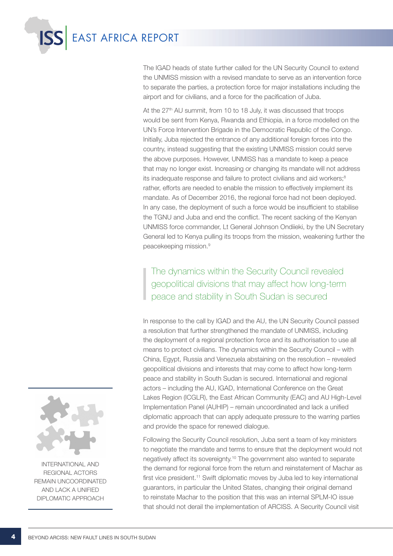

The IGAD heads of state further called for the UN Security Council to extend the UNMISS mission with a revised mandate to serve as an intervention force to separate the parties, a protection force for major installations including the airport and for civilians, and a force for the pacification of Juba.

At the  $27<sup>th</sup>$  AU summit, from 10 to 18 July, it was discussed that troops would be sent from Kenya, Rwanda and Ethiopia, in a force modelled on the UN's Force Intervention Brigade in the Democratic Republic of the Congo. Initially, Juba rejected the entrance of any additional foreign forces into the country, instead suggesting that the existing UNMISS mission could serve the above purposes. However, UNMISS has a mandate to keep a peace that may no longer exist. Increasing or changing its mandate will not address its inadequate response and failure to protect civilians and aid workers;<sup>8</sup> rather, efforts are needed to enable the mission to effectively implement its mandate. As of December 2016, the regional force had not been deployed. In any case, the deployment of such a force would be insufficient to stabilise the TGNU and Juba and end the conflict. The recent sacking of the Kenyan UNMISS force commander, Lt General Johnson Ondiieki, by the UN Secretary General led to Kenya pulling its troops from the mission, weakening further the peacekeeping mission.9

The dynamics within the Security Council revealed geopolitical divisions that may affect how long-term peace and stability in South Sudan is secured

In response to the call by IGAD and the AU, the UN Security Council passed a resolution that further strengthened the mandate of UNMISS, including the deployment of a regional protection force and its authorisation to use all means to protect civilians. The dynamics within the Security Council – with China, Egypt, Russia and Venezuela abstaining on the resolution – revealed geopolitical divisions and interests that may come to affect how long-term peace and stability in South Sudan is secured. International and regional actors – including the AU, IGAD, International Conference on the Great Lakes Region (ICGLR), the East African Community (EAC) and AU High-Level Implementation Panel (AUHIP) – remain uncoordinated and lack a unified diplomatic approach that can apply adequate pressure to the warring parties and provide the space for renewed dialogue.

Following the Security Council resolution, Juba sent a team of key ministers to negotiate the mandate and terms to ensure that the deployment would not negatively affect its sovereignty.10 The government also wanted to separate the demand for regional force from the return and reinstatement of Machar as first vice president.<sup>11</sup> Swift diplomatic moves by Juba led to key international guarantors, in particular the United States, changing their original demand to reinstate Machar to the position that this was an internal SPLM-IO issue that should not derail the implementation of ARCISS. A Security Council visit



International and regional actors remain uncoordinated and lack a unified diplomatic approach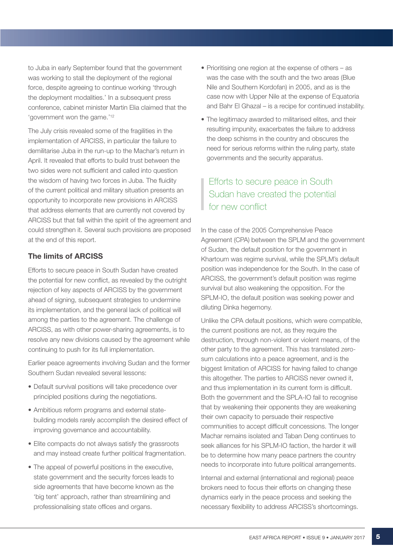to Juba in early September found that the government was working to stall the deployment of the regional force, despite agreeing to continue working 'through the deployment modalities.' In a subsequent press conference, cabinet minister Martin Elia claimed that the 'government won the game.'12

The July crisis revealed some of the fragilities in the implementation of ARCISS, in particular the failure to demilitarise Juba in the run-up to the Machar's return in April. It revealed that efforts to build trust between the two sides were not sufficient and called into question the wisdom of having two forces in Juba. The fluidity of the current political and military situation presents an opportunity to incorporate new provisions in ARCISS that address elements that are currently not covered by ARCISS but that fall within the spirit of the agreement and could strengthen it. Several such provisions are proposed at the end of this report.

### The limits of ARCISS

Efforts to secure peace in South Sudan have created the potential for new conflict, as revealed by the outright rejection of key aspects of ARCISS by the government ahead of signing, subsequent strategies to undermine its implementation, and the general lack of political will among the parties to the agreement. The challenge of ARCISS, as with other power-sharing agreements, is to resolve any new divisions caused by the agreement while continuing to push for its full implementation.

Earlier peace agreements involving Sudan and the former Southern Sudan revealed several lessons:

- Default survival positions will take precedence over principled positions during the negotiations.
- Ambitious reform programs and external statebuilding models rarely accomplish the desired effect of improving governance and accountability.
- Elite compacts do not always satisfy the grassroots and may instead create further political fragmentation.
- The appeal of powerful positions in the executive, state government and the security forces leads to side agreements that have become known as the 'big tent' approach, rather than streamlining and professionalising state offices and organs.
- Prioritising one region at the expense of others as was the case with the south and the two areas (Blue Nile and Southern Kordofan) in 2005, and as is the case now with Upper Nile at the expense of Equatoria and Bahr El Ghazal – is a recipe for continued instability.
- The legitimacy awarded to militarised elites, and their resulting impunity, exacerbates the failure to address the deep schisms in the country and obscures the need for serious reforms within the ruling party, state governments and the security apparatus.

### Efforts to secure peace in South Sudan have created the potential for new conflict

In the case of the 2005 Comprehensive Peace Agreement (CPA) between the SPLM and the government of Sudan, the default position for the government in Khartoum was regime survival, while the SPLM's default position was independence for the South. In the case of ARCISS, the government's default position was regime survival but also weakening the opposition. For the SPLM-IO, the default position was seeking power and diluting Dinka hegemony.

Unlike the CPA default positions, which were compatible, the current positions are not, as they require the destruction, through non-violent or violent means, of the other party to the agreement. This has translated zerosum calculations into a peace agreement, and is the biggest limitation of ARCISS for having failed to change this altogether. The parties to ARCISS never owned it, and thus implementation in its current form is difficult. Both the government and the SPLA-IO fail to recognise that by weakening their opponents they are weakening their own capacity to persuade their respective communities to accept difficult concessions. The longer Machar remains isolated and Taban Deng continues to seek alliances for his SPLM-IO faction, the harder it will be to determine how many peace partners the country needs to incorporate into future political arrangements.

Internal and external (international and regional) peace brokers need to focus their efforts on changing these dynamics early in the peace process and seeking the necessary flexibility to address ARCISS's shortcomings.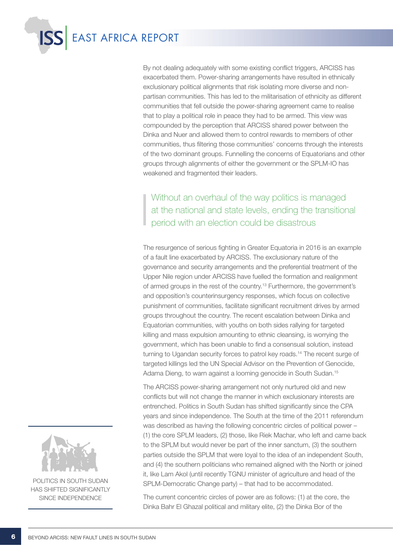

By not dealing adequately with some existing conflict triggers, ARCISS has exacerbated them. Power-sharing arrangements have resulted in ethnically exclusionary political alignments that risk isolating more diverse and nonpartisan communities. This has led to the militarisation of ethnicity as different communities that fell outside the power-sharing agreement came to realise that to play a political role in peace they had to be armed. This view was compounded by the perception that ARCISS shared power between the Dinka and Nuer and allowed them to control rewards to members of other communities, thus filtering those communities' concerns through the interests of the two dominant groups. Funnelling the concerns of Equatorians and other groups through alignments of either the government or the SPLM-IO has weakened and fragmented their leaders.

### Without an overhaul of the way politics is managed at the national and state levels, ending the transitional period with an election could be disastrous

The resurgence of serious fighting in Greater Equatoria in 2016 is an example of a fault line exacerbated by ARCISS. The exclusionary nature of the governance and security arrangements and the preferential treatment of the Upper Nile region under ARCISS have fuelled the formation and realignment of armed groups in the rest of the country.13 Furthermore, the government's and opposition's counterinsurgency responses, which focus on collective punishment of communities, facilitate significant recruitment drives by armed groups throughout the country. The recent escalation between Dinka and Equatorian communities, with youths on both sides rallying for targeted killing and mass expulsion amounting to ethnic cleansing, is worrying the government, which has been unable to find a consensual solution, instead turning to Ugandan security forces to patrol key roads.<sup>14</sup> The recent surge of targeted killings led the UN Special Advisor on the Prevention of Genocide, Adama Dieng, to warn against a looming genocide in South Sudan.15

The ARCISS power-sharing arrangement not only nurtured old and new conflicts but will not change the manner in which exclusionary interests are entrenched. Politics in South Sudan has shifted significantly since the CPA years and since independence. The South at the time of the 2011 referendum was described as having the following concentric circles of political power – (1) the core SPLM leaders, (2) those, like Riek Machar, who left and came back to the SPLM but would never be part of the inner sanctum, (3) the southern parties outside the SPLM that were loyal to the idea of an independent South, and (4) the southern politicians who remained aligned with the North or joined it, like Lam Akol (until recently TGNU minister of agriculture and head of the SPLM-Democratic Change party) – that had to be accommodated.

The current concentric circles of power are as follows: (1) at the core, the Dinka Bahr El Ghazal political and military elite, (2) the Dinka Bor of the



POLITICS IN SOUTH SUDAN has shifted significantly since independence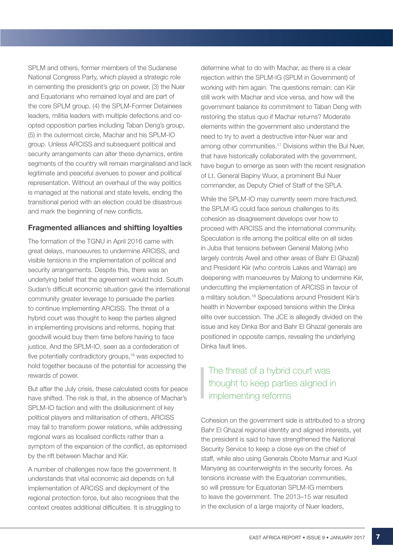SPLM and others, former members of the Sudanese National Congress Party, which played a strategic role in cementing the president's grip on power, (3) the Nuer and Equatorians who remained loyal and are part of the core SPLM group, (4) the SPLM-Former Detainees leaders, militia leaders with multiple defections and coopted opposition parties including Taban Deng's group, (5) in the outermost circle, Machar and his SPLM-IO group. Unless ARCISS and subsequent political and security arrangements can alter these dynamics, entire segments of the country will remain marginalised and lack legitimate and peaceful avenues to power and political representation. Without an overhaul of the way politics is managed at the national and state levels, ending the transitional period with an election could be disastrous and mark the beginning of new conflicts.

### Fragmented alliances and shifting loyalties

The formation of the TGNU in April 2016 came with great delays, manoeuvres to undermine ARCISS, and visible tensions in the implementation of political and security arrangements. Despite this, there was an underlying belief that the agreement would hold. South Sudan's difficult economic situation gave the international community greater leverage to persuade the parties to continue implementing ARCISS. The threat of a hybrid court was thought to keep the parties aligned in implementing provisions and reforms, hoping that goodwill would buy them time before having to face justice. And the SPLM-IO, seen as a confederation of five potentially contradictory groups,<sup>16</sup> was expected to hold together because of the potential for accessing the rewards of power.

But after the July crisis, these calculated costs for peace have shifted. The risk is that, in the absence of Machar's SPLM-IO faction and with the disillusionment of key political players and militarisation of others, ARCISS may fail to transform power relations, while addressing regional wars as localised conflicts rather than a symptom of the expansion of the conflict, as epitomised by the rift between Machar and Kiir.

A number of challenges now face the government. It understands that vital economic aid depends on full implementation of ARCISS and deployment of the regional protection force, but also recognises that the context creates additional difficulties. It is struggling to determine what to do with Machar, as there is a clear rejection within the SPLM-IG (SPLM in Government) of working with him again. The questions remain: can Kiir still work with Machar and vice versa, and how will the government balance its commitment to Taban Deng with restoring the status quo if Machar returns? Moderate elements within the government also understand the need to try to avert a destructive inter-Nuer war and among other communities.17 Divisions within the Bul Nuer, that have historically collaborated with the government, have begun to emerge as seen with the recent resignation of Lt. General Bapiny Wuor, a prominent Bul Nuer commander, as Deputy Chief of Staff of the SPLA.

While the SPLM-IO may currently seem more fractured, the SPLM-IG could face serious challenges to its cohesion as disagreement develops over how to proceed with ARCISS and the international community. Speculation is rife among the political elite on all sides in Juba that tensions between General Malong (who largely controls Aweil and other areas of Bahr El Ghazal) and President Kiir (who controls Lakes and Warrap) are deepening with manoeuvres by Malong to undermine Kiir, undercutting the implementation of ARCISS in favour of a military solution.18 Speculations around President Kiir's health in November exposed tensions within the Dinka elite over succession. The JCE is allegedly divided on the issue and key Dinka Bor and Bahr El Ghazal generals are positioned in opposite camps, revealing the underlying Dinka fault lines.

### The threat of a hybrid court was thought to keep parties aligned in implementing reforms

Cohesion on the government side is attributed to a strong Bahr El Ghazal regional identity and aligned interests, yet the president is said to have strengthened the National Security Service to keep a close eye on the chief of staff, while also using Generals Obote Mamur and Kuol Manyang as counterweights in the security forces. As tensions increase with the Equatorian communities, so will pressure for Equatorian SPLM-IG members to leave the government. The 2013–15 war resulted in the exclusion of a large majority of Nuer leaders,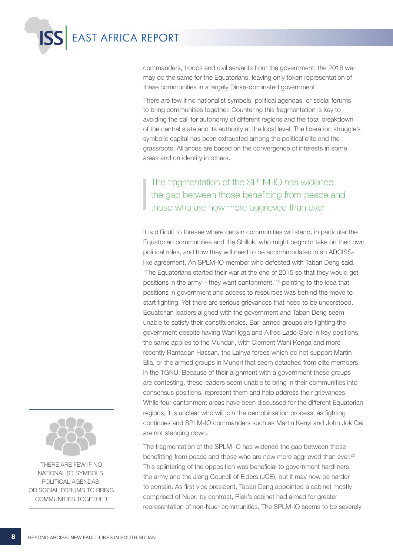

commanders, troops and civil servants from the government; the 2016 war may do the same for the Equatorians, leaving only token representation of these communities in a largely Dinka-dominated government.

There are few if no nationalist symbols, political agendas, or social forums to bring communities together. Countering this fragmentation is key to avoiding the call for autonomy of different regions and the total breakdown of the central state and its authority at the local level. The liberation struggle's symbolic capital has been exhausted among the political elite and the grassroots. Alliances are based on the convergence of interests in some areas and on identity in others.

The fragmentation of the SPLM-IO has widened the gap between those benefitting from peace and those who are now more aggrieved than ever

It is difficult to foresee where certain communities will stand, in particular the Equatorian communities and the Shilluk, who might begin to take on their own political roles, and how they will need to be accommodated in an ARCISSlike agreement. An SPLM-IO member who defected with Taban Deng said, 'The Equatorians started their war at the end of 2015 so that they would get positions in the army – they want cantonment,'19 pointing to the idea that positions in government and access to resources was behind the move to start fighting. Yet there are serious grievances that need to be understood. Equatorian leaders aligned with the government and Taban Deng seem unable to satisfy their constituencies. Bari armed groups are fighting the government despite having Wani Igga and Alfred Lado Gore in key positions; the same applies to the Mundari, with Clement Wani Konga and more recently Ramadan Hassan, the Lainya forces which do not support Martin Elia, or the armed groups in Mundri that seem detached from elite members in the TGNU. Because of their alignment with a government these groups are contesting, these leaders seem unable to bring in their communities into consensus positions, represent them and help address their grievances. While four cantonment areas have been discussed for the different Equatorian regions, it is unclear who will join the demobilisation process, as fighting continues and SPLM-IO commanders such as Martin Kenyi and John Jok Gai are not standing down.

The fragmentation of the SPLM-IO has widened the gap between those benefitting from peace and those who are now more aggrieved than ever.<sup>20</sup> This splintering of the opposition was beneficial to government hardliners, the army and the Jieng Council of Elders (JCE), but it may now be harder to contain. As first vice president, Taban Deng appointed a cabinet mostly comprised of Nuer; by contrast, Riek's cabinet had aimed for greater representation of non-Nuer communities. The SPLM-IO seems to be severely



There are few if no nationalist symbols, political agendas, or social forums to bring communities together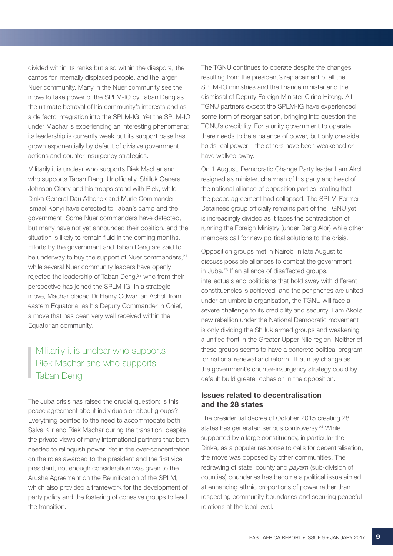divided within its ranks but also within the diaspora, the camps for internally displaced people, and the larger Nuer community. Many in the Nuer community see the move to take power of the SPLM-IO by Taban Deng as the ultimate betrayal of his community's interests and as a de facto integration into the SPLM-IG. Yet the SPLM-IO under Machar is experiencing an interesting phenomena: its leadership is currently weak but its support base has grown exponentially by default of divisive government actions and counter-insurgency strategies.

Militarily it is unclear who supports Riek Machar and who supports Taban Deng. Unofficially, Shilluk General Johnson Olony and his troops stand with Riek, while Dinka General Dau Athorjok and Murle Commander Ismael Konyi have defected to Taban's camp and the government. Some Nuer commanders have defected, but many have not yet announced their position, and the situation is likely to remain fluid in the coming months. Efforts by the government and Taban Deng are said to be underway to buy the support of Nuer commanders, <sup>21</sup> while several Nuer community leaders have openly rejected the leadership of Taban Deng,<sup>22</sup> who from their perspective has joined the SPLM-IG. In a strategic move, Machar placed Dr Henry Odwar, an Acholi from eastern Equatoria, as his Deputy Commander in Chief, a move that has been very well received within the Equatorian community.

### Militarily it is unclear who supports Riek Machar and who supports Taban Deng

The Juba crisis has raised the crucial question: is this peace agreement about individuals or about groups? Everything pointed to the need to accommodate both Salva Kiir and Riek Machar during the transition, despite the private views of many international partners that both needed to relinquish power. Yet in the over-concentration on the roles awarded to the president and the first vice president, not enough consideration was given to the Arusha Agreement on the Reunification of the SPLM, which also provided a framework for the development of party policy and the fostering of cohesive groups to lead the transition.

The TGNU continues to operate despite the changes resulting from the president's replacement of all the SPLM-IO ministries and the finance minister and the dismissal of Deputy Foreign Minister Cirino Hiteng. All TGNU partners except the SPLM-IG have experienced some form of reorganisation, bringing into question the TGNU's credibility. For a unity government to operate there needs to be a balance of power, but only one side holds real power – the others have been weakened or have walked away.

On 1 August, Democratic Change Party leader Lam Akol resigned as minister, chairman of his party and head of the national alliance of opposition parties, stating that the peace agreement had collapsed. The SPLM-Former Detainees group officially remains part of the TGNU yet is increasingly divided as it faces the contradiction of running the Foreign Ministry (under Deng Alor) while other members call for new political solutions to the crisis.

Opposition groups met in Nairobi in late August to discuss possible alliances to combat the government in Juba.23 If an alliance of disaffected groups, intellectuals and politicians that hold sway with different constituencies is achieved, and the peripheries are united under an umbrella organisation, the TGNU will face a severe challenge to its credibility and security. Lam Akol's new rebellion under the National Democratic movement is only dividing the Shilluk armed groups and weakening a unified front in the Greater Upper Nile region. Neither of these groups seems to have a concrete political program for national renewal and reform. That may change as the government's counter-insurgency strategy could by default build greater cohesion in the opposition.

### Issues related to decentralisation and the 28 states

The presidential decree of October 2015 creating 28 states has generated serious controversy.<sup>24</sup> While supported by a large constituency, in particular the Dinka, as a popular response to calls for decentralisation, the move was opposed by other communities. The redrawing of state, county and *payam* (sub-division of counties) boundaries has become a political issue aimed at enhancing ethnic proportions of power rather than respecting community boundaries and securing peaceful relations at the local level.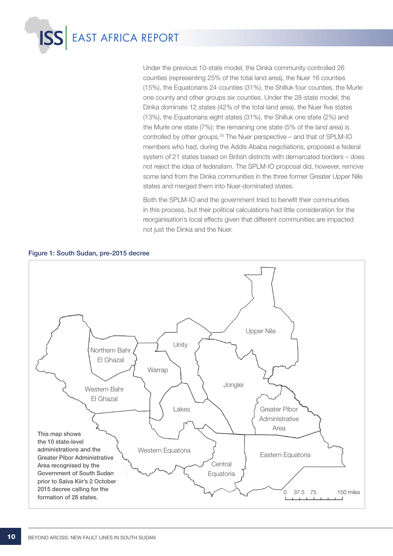

Under the previous 10-state model, the Dinka community controlled 26 counties (representing 25% of the total land area), the Nuer 16 counties (15%), the Equatorians 24 counties (31%), the Shilluk four counties, the Murle one county and other groups six counties. Under the 28-state model, the Dinka dominate 12 states (42% of the total land area), the Nuer five states (13%), the Equatorians eight states (31%), the Shilluk one state (2%) and the Murle one state (7%); the remaining one state (5% of the land area) is controlled by other groups.25 The Nuer perspective – and that of SPLM-IO members who had, during the Addis Ababa negotiations, proposed a federal system of 21 states based on British districts with demarcated borders – does not reject the idea of federalism. The SPLM-IO proposal did, however, remove some land from the Dinka communities in the three former Greater Upper Nile states and merged them into Nuer-dominated states.

Both the SPLM-IO and the government tried to benefit their communities in this process, but their political calculations had little consideration for the reorganisation's local effects given that different communities are impacted not just the Dinka and the Nuer.



Figure 1: South Sudan, pre-2015 decree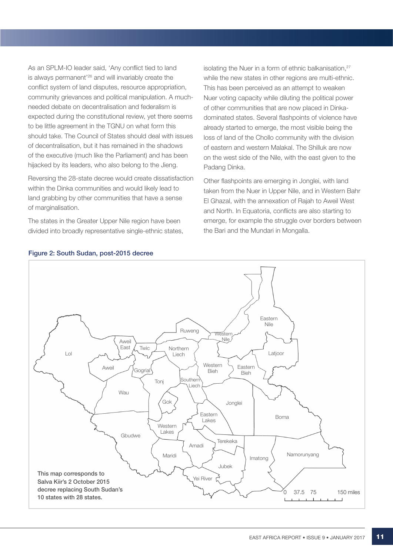As an SPLM-IO leader said, 'Any conflict tied to land is always permanent'26 and will invariably create the conflict system of land disputes, resource appropriation, community grievances and political manipulation. A muchneeded debate on decentralisation and federalism is expected during the constitutional review, yet there seems to be little agreement in the TGNU on what form this should take. The Council of States should deal with issues of decentralisation, but it has remained in the shadows of the executive (much like the Parliament) and has been hijacked by its leaders, who also belong to the Jieng.

Reversing the 28-state decree would create dissatisfaction within the Dinka communities and would likely lead to land grabbing by other communities that have a sense of marginalisation.

The states in the Greater Upper Nile region have been divided into broadly representative single-ethnic states, isolating the Nuer in a form of ethnic balkanisation,<sup>27</sup> while the new states in other regions are multi-ethnic. This has been perceived as an attempt to weaken Nuer voting capacity while diluting the political power of other communities that are now placed in Dinkadominated states. Several flashpoints of violence have already started to emerge, the most visible being the loss of land of the Chollo community with the division of eastern and western Malakal. The Shilluk are now on the west side of the Nile, with the east given to the Padang Dinka.

Other flashpoints are emerging in Jonglei, with land taken from the Nuer in Upper Nile, and in Western Bahr El Ghazal, with the annexation of Rajah to Aweil West and North. In Equatoria, conflicts are also starting to emerge, for example the struggle over borders between the Bari and the Mundari in Mongalla.



### Figure 2: South Sudan, post-2015 decree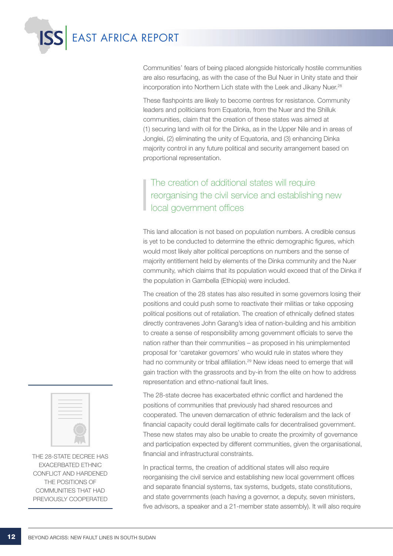

Communities' fears of being placed alongside historically hostile communities are also resurfacing, as with the case of the Bul Nuer in Unity state and their incorporation into Northern Lich state with the Leek and Jikany Nuer.<sup>28</sup>

These flashpoints are likely to become centres for resistance. Community leaders and politicians from Equatoria, from the Nuer and the Shilluk communities, claim that the creation of these states was aimed at (1) securing land with oil for the Dinka, as in the Upper Nile and in areas of Jonglei, (2) eliminating the unity of Equatoria, and (3) enhancing Dinka majority control in any future political and security arrangement based on proportional representation.

### The creation of additional states will require reorganising the civil service and establishing new local government offices

This land allocation is not based on population numbers. A credible census is yet to be conducted to determine the ethnic demographic figures, which would most likely alter political perceptions on numbers and the sense of majority entitlement held by elements of the Dinka community and the Nuer community, which claims that its population would exceed that of the Dinka if the population in Gambella (Ethiopia) were included.

The creation of the 28 states has also resulted in some governors losing their positions and could push some to reactivate their militias or take opposing political positions out of retaliation. The creation of ethnically defined states directly contravenes John Garang's idea of nation-building and his ambition to create a sense of responsibility among government officials to serve the nation rather than their communities – as proposed in his unimplemented proposal for 'caretaker governors' who would rule in states where they had no community or tribal affiliation.<sup>29</sup> New ideas need to emerge that will gain traction with the grassroots and by-in from the elite on how to address representation and ethno-national fault lines.

The 28-state decree has exacerbated ethnic conflict and hardened the positions of communities that previously had shared resources and cooperated. The uneven demarcation of ethnic federalism and the lack of financial capacity could derail legitimate calls for decentralised government. These new states may also be unable to create the proximity of governance and participation expected by different communities, given the organisational, financial and infrastructural constraints.

In practical terms, the creation of additional states will also require reorganising the civil service and establishing new local government offices and separate financial systems, tax systems, budgets, state constitutions, and state governments (each having a governor, a deputy, seven ministers, five advisors, a speaker and a 21-member state assembly). It will also require



The 28-state decree has exacerbated ethnic conflict and hardened the positions of communities that had previously cooperated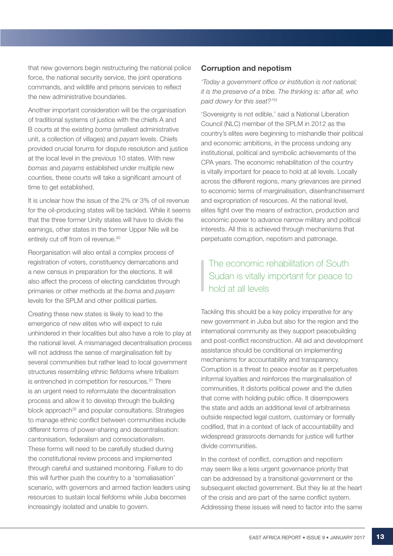that new governors begin restructuring the national police force, the national security service, the joint operations commands, and wildlife and prisons services to reflect the new administrative boundaries.

Another important consideration will be the organisation of traditional systems of justice with the chiefs A and B courts at the existing *boma* (smallest administrative unit, a collection of villages) and *payam* levels. Chiefs provided crucial forums for dispute resolution and justice at the local level in the previous 10 states. With new *bomas* and *payams* established under multiple new counties, these courts will take a significant amount of time to get established.

It is unclear how the issue of the 2% or 3% of oil revenue for the oil-producing states will be tackled. While it seems that the three former Unity states will have to divide the earnings, other states in the former Upper Nile will be entirely cut off from oil revenue.<sup>30</sup>

Reorganisation will also entail a complex process of registration of voters, constituency demarcations and a new census in preparation for the elections. It will also affect the process of electing candidates through primaries or other methods at the *boma* and *payam* levels for the SPLM and other political parties.

Creating these new states is likely to lead to the emergence of new elites who will expect to rule unhindered in their localities but also have a role to play at the national level. A mismanaged decentralisation process will not address the sense of marginalisation felt by several communities but rather lead to local government structures resembling ethnic fiefdoms where tribalism is entrenched in competition for resources.<sup>31</sup> There is an urgent need to reformulate the decentralisation process and allow it to develop through the building block approach<sup>32</sup> and popular consultations. Strategies to manage ethnic conflict between communities include different forms of power-sharing and decentralisation: cantonisation, federalism and consociationalism. These forms will need to be carefully studied during the constitutional review process and implemented through careful and sustained monitoring. Failure to do this will further push the country to a 'somaliasation' scenario, with governors and armed faction leaders using resources to sustain local fiefdoms while Juba becomes increasingly isolated and unable to govern.

### Corruption and nepotism

*'Today a government office or institution is not national; it is the preserve of a tribe. The thinking is: after all, who paid dowry for this seat?'*<sup>33</sup>

'Sovereignty is not edible,' said a National Liberation Council (NLC) member of the SPLM in 2012 as the country's elites were beginning to mishandle their political and economic ambitions, in the process undoing any institutional, political and symbolic achievements of the CPA years. The economic rehabilitation of the country is vitally important for peace to hold at all levels. Locally across the different regions, many grievances are pinned to economic terms of marginalisation, disenfranchisement and expropriation of resources. At the national level, elites fight over the means of extraction, production and economic power to advance narrow military and political interests. All this is achieved through mechanisms that perpetuate corruption, nepotism and patronage.

### The economic rehabilitation of South Sudan is vitally important for peace to hold at all levels

Tackling this should be a key policy imperative for any new government in Juba but also for the region and the international community as they support peacebuilding and post-conflict reconstruction. All aid and development assistance should be conditional on implementing mechanisms for accountability and transparency. Corruption is a threat to peace insofar as it perpetuates informal loyalties and reinforces the marginalisation of communities. It distorts political power and the duties that come with holding public office. It disempowers the state and adds an additional level of arbitrariness outside respected legal custom, customary or formally codified, that in a context of lack of accountability and widespread grassroots demands for justice will further divide communities.

In the context of conflict, corruption and nepotism may seem like a less urgent governance priority that can be addressed by a transitional government or the subsequent elected government. But they lie at the heart of the crisis and are part of the same conflict system. Addressing these issues will need to factor into the same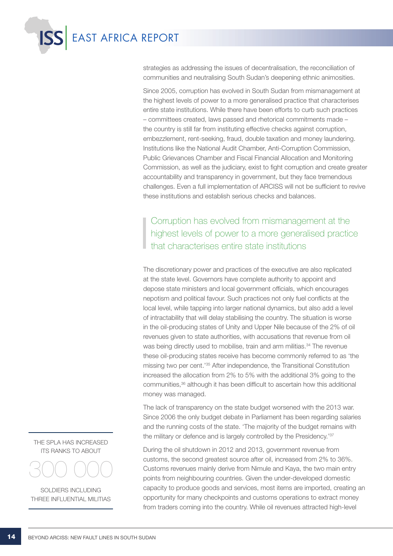

strategies as addressing the issues of decentralisation, the reconciliation of communities and neutralising South Sudan's deepening ethnic animosities.

Since 2005, corruption has evolved in South Sudan from mismanagement at the highest levels of power to a more generalised practice that characterises entire state institutions. While there have been efforts to curb such practices – committees created, laws passed and rhetorical commitments made – the country is still far from instituting effective checks against corruption, embezzlement, rent-seeking, fraud, double taxation and money laundering. Institutions like the National Audit Chamber, Anti-Corruption Commission, Public Grievances Chamber and Fiscal Financial Allocation and Monitoring Commission, as well as the judiciary, exist to fight corruption and create greater accountability and transparency in government, but they face tremendous challenges. Even a full implementation of ARCISS will not be sufficient to revive these institutions and establish serious checks and balances.

Corruption has evolved from mismanagement at the highest levels of power to a more generalised practice that characterises entire state institutions

The discretionary power and practices of the executive are also replicated at the state level. Governors have complete authority to appoint and depose state ministers and local government officials, which encourages nepotism and political favour. Such practices not only fuel conflicts at the local level, while tapping into larger national dynamics, but also add a level of intractability that will delay stabilising the country. The situation is worse in the oil-producing states of Unity and Upper Nile because of the 2% of oil revenues given to state authorities, with accusations that revenue from oil was being directly used to mobilise, train and arm militias.<sup>34</sup> The revenue these oil-producing states receive has become commonly referred to as 'the missing two per cent.'35 After independence, the Transitional Constitution increased the allocation from 2% to 5% with the additional 3% going to the communities,36 although it has been difficult to ascertain how this additional money was managed.

The lack of transparency on the state budget worsened with the 2013 war. Since 2006 the only budget debate in Parliament has been regarding salaries and the running costs of the state. 'The majority of the budget remains with the military or defence and is largely controlled by the Presidency.'37

During the oil shutdown in 2012 and 2013, government revenue from customs, the second greatest source after oil, increased from 2% to 36%. Customs revenues mainly derive from Nimule and Kaya, the two main entry points from neighbouring countries. Given the under-developed domestic capacity to produce goods and services, most items are imported, creating an opportunity for many checkpoints and customs operations to extract money from traders coming into the country. While oil revenues attracted high-level

THE SPLA HAS INCREASED its ranks to about



soldiers including three influential militias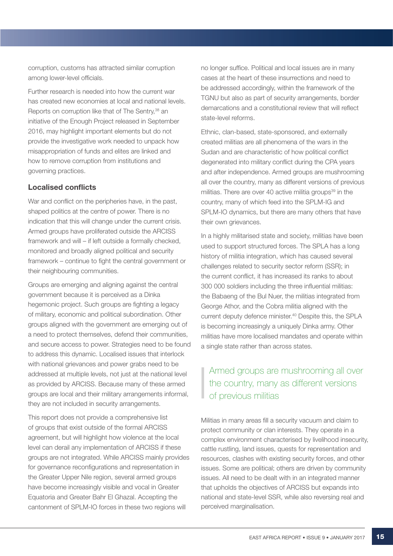corruption, customs has attracted similar corruption among lower-level officials.

Further research is needed into how the current war has created new economies at local and national levels. Reports on corruption like that of The Sentry,<sup>38</sup> an initiative of the Enough Project released in September 2016, may highlight important elements but do not provide the investigative work needed to unpack how misappropriation of funds and elites are linked and how to remove corruption from institutions and governing practices.

### Localised conflicts

War and conflict on the peripheries have, in the past, shaped politics at the centre of power. There is no indication that this will change under the current crisis. Armed groups have proliferated outside the ARCISS framework and will – if left outside a formally checked, monitored and broadly aligned political and security framework – continue to fight the central government or their neighbouring communities.

Groups are emerging and aligning against the central government because it is perceived as a Dinka hegemonic project. Such groups are fighting a legacy of military, economic and political subordination. Other groups aligned with the government are emerging out of a need to protect themselves, defend their communities, and secure access to power. Strategies need to be found to address this dynamic. Localised issues that interlock with national grievances and power grabs need to be addressed at multiple levels, not just at the national level as provided by ARCISS. Because many of these armed groups are local and their military arrangements informal, they are not included in security arrangements.

This report does not provide a comprehensive list of groups that exist outside of the formal ARCISS agreement, but will highlight how violence at the local level can derail any implementation of ARCISS if these groups are not integrated. While ARCISS mainly provides for governance reconfigurations and representation in the Greater Upper Nile region, several armed groups have become increasingly visible and vocal in Greater Equatoria and Greater Bahr El Ghazal. Accepting the cantonment of SPLM-IO forces in these two regions will

no longer suffice. Political and local issues are in many cases at the heart of these insurrections and need to be addressed accordingly, within the framework of the TGNU but also as part of security arrangements, border demarcations and a constitutional review that will reflect state-level reforms.

Ethnic, clan-based, state-sponsored, and externally created militias are all phenomena of the wars in the Sudan and are characteristic of how political conflict degenerated into military conflict during the CPA years and after independence. Armed groups are mushrooming all over the country, many as different versions of previous militias. There are over 40 active militia groups<sup>39</sup> in the country, many of which feed into the SPLM-IG and SPLM-IO dynamics, but there are many others that have their own grievances.

In a highly militarised state and society, militias have been used to support structured forces. The SPLA has a long history of militia integration, which has caused several challenges related to security sector reform (SSR); in the current conflict, it has increased its ranks to about 300 000 soldiers including the three influential militias: the Babaeng of the Bul Nuer, the militias integrated from George Athor, and the Cobra militia aligned with the current deputy defence minister.40 Despite this, the SPLA is becoming increasingly a uniquely Dinka army. Other militias have more localised mandates and operate within a single state rather than across states.

### Armed groups are mushrooming all over the country, many as different versions of previous militias

Militias in many areas fill a security vacuum and claim to protect community or clan interests. They operate in a complex environment characterised by livelihood insecurity, cattle rustling, land issues, quests for representation and resources, clashes with existing security forces, and other issues. Some are political; others are driven by community issues. All need to be dealt with in an integrated manner that upholds the objectives of ARCISS but expands into national and state-level SSR, while also reversing real and perceived marginalisation.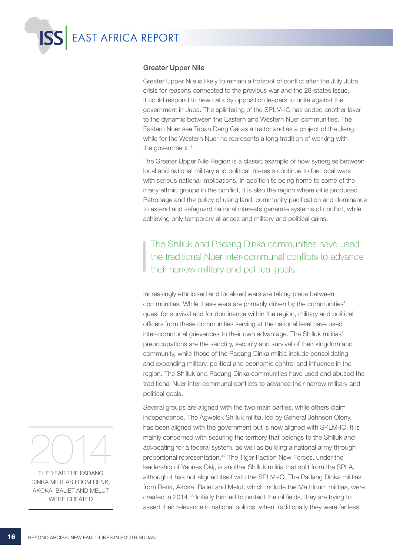

### Greater Upper Nile

Greater Upper Nile is likely to remain a hotspot of conflict after the July Juba crisis for reasons connected to the previous war and the 28-states issue. It could respond to new calls by opposition leaders to unite against the government in Juba. The splintering of the SPLM-IO has added another layer to the dynamic between the Eastern and Western Nuer communities. The Eastern Nuer see Taban Deng Gai as a traitor and as a project of the Jieng, while for the Western Nuer he represents a long tradition of working with the government.<sup>41</sup>

The Greater Upper Nile Region is a classic example of how synergies between local and national military and political interests continue to fuel local wars with serious national implications. In addition to being home to some of the many ethnic groups in the conflict, it is also the region where oil is produced. Patronage and the policy of using land, community pacification and dominance to extend and safeguard national interests generate systems of conflict, while achieving only temporary alliances and military and political gains.

The Shilluk and Padang Dinka communities have used the traditional Nuer inter-communal conflicts to advance their narrow military and political goals

Increasingly ethnicised and localised wars are taking place between communities. While these wars are primarily driven by the communities' quest for survival and for dominance within the region, military and political officers from these communities serving at the national level have used inter-communal grievances to their own advantage. The Shilluk militias' preoccupations are the sanctity, security and survival of their kingdom and community, while those of the Padang Dinka militia include consolidating and expanding military, political and economic control and influence in the region. The Shilluk and Padang Dinka communities have used and abused the traditional Nuer inter-communal conflicts to advance their narrow military and political goals.

Several groups are aligned with the two main parties, while others claim independence. The Agwelek Shilluk militia, led by General Johnson Olony, has been aligned with the government but is now aligned with SPLM-IO. It is mainly concerned with securing the territory that belongs to the Shilluk and advocating for a federal system, as well as building a national army through proportional representation.42 The Tiger Faction New Forces, under the leadership of Yaones Okij, is another Shilluk militia that split from the SPLA, although it has not aligned itself with the SPLM-IO. The Padang Dinka militias from Renk, Akoka, Baliet and Melut, which include the Mathloum militias, were created in 2014.43 Initially formed to protect the oil fields, they are trying to assert their relevance in national politics, when traditionally they were far less



The year the Padang Dinka militias from Renk, Akoka, Baliet and Melut were created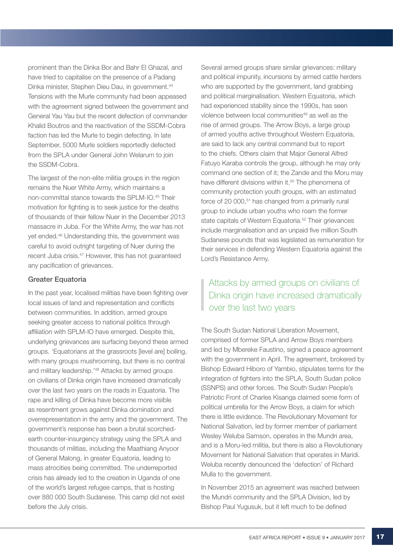prominent than the Dinka Bor and Bahr El Ghazal, and have tried to capitalise on the presence of a Padang Dinka minister, Stephen Dieu Dau, in government.44 Tensions with the Murle community had been appeased with the agreement signed between the government and General Yau Yau but the recent defection of commander Khalid Boutros and the reactivation of the SSDM-Cobra faction has led the Murle to begin defecting. In late September, 5000 Murle soldiers reportedly defected from the SPLA under General John Welarum to join the SSDM-Cobra.

The largest of the non-elite militia groups in the region remains the Nuer White Army, which maintains a non-committal stance towards the SPLM-IO.45 Their motivation for fighting is to seek justice for the deaths of thousands of their fellow Nuer in the December 2013 massacre in Juba. For the White Army, the war has not yet ended.46 Understanding this, the government was careful to avoid outright targeting of Nuer during the recent Juba crisis.47 However, this has not guaranteed any pacification of grievances.

### Greater Equatoria

In the past year, localised militias have been fighting over local issues of land and representation and conflicts between communities. In addition, armed groups seeking greater access to national politics through affiliation with SPLM-IO have emerged. Despite this, underlying grievances are surfacing beyond these armed groups. 'Equatorians at the grassroots [level are] boiling, with many groups mushrooming, but there is no central and military leadership.'48 Attacks by armed groups on civilians of Dinka origin have increased dramatically over the last two years on the roads in Equatoria. The rape and killing of Dinka have become more visible as resentment grows against Dinka domination and overrepresentation in the army and the government. The government's response has been a brutal scorchedearth counter-insurgency strategy using the SPLA and thousands of militias, including the Maathiang Anyoor of General Malong, in greater Equatoria, leading to mass atrocities being committed. The underreported crisis has already led to the creation in Uganda of one of the world's largest refugee camps, that is hosting over 880 000 South Sudanese. This camp did not exist before the July crisis.

Several armed groups share similar grievances: military and political impunity, incursions by armed cattle herders who are supported by the government, land grabbing and political marginalisation. Western Equatoria, which had experienced stability since the 1990s, has seen violence between local communities<sup>49</sup> as well as the rise of armed groups. The Arrow Boys, a large group of armed youths active throughout Western Equatoria, are said to lack any central command but to report to the chiefs. Others claim that Major General Alfred Fatuyo Karaba controls the group, although he may only command one section of it; the Zande and the Moru may have different divisions within it.<sup>50</sup> The phenomena of community protection youth groups, with an estimated force of 20 000,<sup>51</sup> has changed from a primarily rural group to include urban youths who roam the former state capitals of Western Equatoria.<sup>52</sup> Their grievances include marginalisation and an unpaid five million South Sudanese pounds that was legislated as remuneration for their services in defending Western Equatoria against the Lord's Resistance Army.

### Attacks by armed groups on civilians of Dinka origin have increased dramatically over the last two years

The South Sudan National Liberation Movement, comprised of former SPLA and Arrow Boys members and led by Mbereke Faustino, signed a peace agreement with the government in April. The agreement, brokered by Bishop Edward Hiboro of Yambio, stipulates terms for the integration of fighters into the SPLA, South Sudan police (SSNPS) and other forces. The South Sudan People's Patriotic Front of Charles Kisanga claimed some form of political umbrella for the Arrow Boys, a claim for which there is little evidence. The Revolutionary Movement for National Salvation, led by former member of parliament Wesley Weluba Samson, operates in the Mundri area, and is a Moru-led militia, but there is also a Revolutionary Movement for National Salvation that operates in Maridi. Weluba recently denounced the 'defection' of Richard Mulla to the government.

In November 2015 an agreement was reached between the Mundri community and the SPLA Division, led by Bishop Paul Yugusuk, but it left much to be defined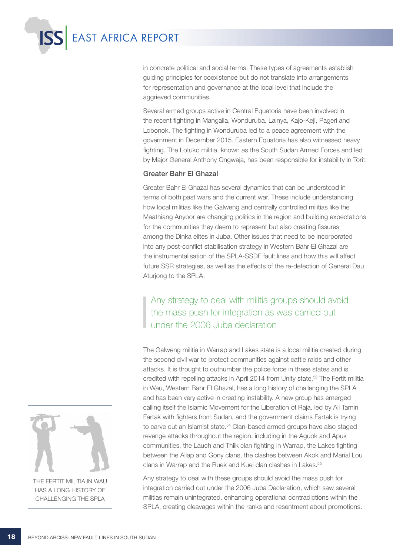

in concrete political and social terms. These types of agreements establish guiding principles for coexistence but do not translate into arrangements for representation and governance at the local level that include the aggrieved communities.

Several armed groups active in Central Equatoria have been involved in the recent fighting in Mangalla, Wonduruba, Lainya, Kajo-Keji, Pageri and Lobonok. The fighting in Wonduruba led to a peace agreement with the government in December 2015. Eastern Equatoria has also witnessed heavy fighting. The Lotuko militia, known as the South Sudan Armed Forces and led by Major General Anthony Ongwaja, has been responsible for instability in Torit.

### Greater Bahr El Ghazal

Greater Bahr El Ghazal has several dynamics that can be understood in terms of both past wars and the current war. These include understanding how local militias like the Galweng and centrally controlled militias like the Maathiang Anyoor are changing politics in the region and building expectations for the communities they deem to represent but also creating fissures among the Dinka elites in Juba. Other issues that need to be incorporated into any post-conflict stabilisation strategy in Western Bahr El Ghazal are the instrumentalisation of the SPLA-SSDF fault lines and how this will affect future SSR strategies, as well as the effects of the re-defection of General Dau Aturjong to the SPLA.

Any strategy to deal with militia groups should avoid the mass push for integration as was carried out under the 2006 Juba declaration

The Galweng militia in Warrap and Lakes state is a local militia created during the second civil war to protect communities against cattle raids and other attacks. It is thought to outnumber the police force in these states and is credited with repelling attacks in April 2014 from Unity state.<sup>53</sup> The Fertit militia in Wau, Western Bahr El Ghazal, has a long history of challenging the SPLA and has been very active in creating instability. A new group has emerged calling itself the Islamic Movement for the Liberation of Raja, led by Ali Tamin Fartak with fighters from Sudan, and the government claims Fartak is trying to carve out an Islamist state.<sup>54</sup> Clan-based armed groups have also staged revenge attacks throughout the region, including in the Aguok and Apuk communities, the Lauch and Thiik clan fighting in Warrap, the Lakes fighting between the Aliap and Gony clans, the clashes between Akok and Marial Lou clans in Warrap and the Ruek and Kuei clan clashes in Lakes.<sup>55</sup>

Any strategy to deal with these groups should avoid the mass push for integration carried out under the 2006 Juba Declaration, which saw several militias remain unintegrated, enhancing operational contradictions within the SPLA, creating cleavages within the ranks and resentment about promotions.



The Fertit militia in Wau HAS A LONG HISTORY OF challenging the SPLA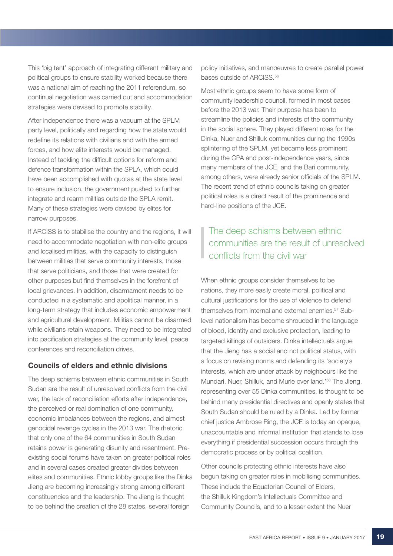This 'big tent' approach of integrating different military and political groups to ensure stability worked because there was a national aim of reaching the 2011 referendum, so continual negotiation was carried out and accommodation strategies were devised to promote stability.

After independence there was a vacuum at the SPLM party level, politically and regarding how the state would redefine its relations with civilians and with the armed forces, and how elite interests would be managed. Instead of tackling the difficult options for reform and defence transformation within the SPLA, which could have been accomplished with quotas at the state level to ensure inclusion, the government pushed to further integrate and rearm militias outside the SPLA remit. Many of these strategies were devised by elites for narrow purposes.

If ARCISS is to stabilise the country and the regions, it will need to accommodate negotiation with non-elite groups and localised militias, with the capacity to distinguish between militias that serve community interests, those that serve politicians, and those that were created for other purposes but find themselves in the forefront of local grievances. In addition, disarmament needs to be conducted in a systematic and apolitical manner, in a long-term strategy that includes economic empowerment and agricultural development. Militias cannot be disarmed while civilians retain weapons. They need to be integrated into pacification strategies at the community level, peace conferences and reconciliation drives.

### Councils of elders and ethnic divisions

The deep schisms between ethnic communities in South Sudan are the result of unresolved conflicts from the civil war, the lack of reconciliation efforts after independence, the perceived or real domination of one community, economic imbalances between the regions, and almost genocidal revenge cycles in the 2013 war. The rhetoric that only one of the 64 communities in South Sudan retains power is generating disunity and resentment. Preexisting social forums have taken on greater political roles and in several cases created greater divides between elites and communities. Ethnic lobby groups like the Dinka Jieng are becoming increasingly strong among different constituencies and the leadership. The Jieng is thought to be behind the creation of the 28 states, several foreign

policy initiatives, and manoeuvres to create parallel power bases outside of ARCISS.<sup>56</sup>

Most ethnic groups seem to have some form of community leadership council, formed in most cases before the 2013 war. Their purpose has been to streamline the policies and interests of the community in the social sphere. They played different roles for the Dinka, Nuer and Shilluk communities during the 1990s splintering of the SPLM, yet became less prominent during the CPA and post-independence years, since many members of the JCE, and the Bari community, among others, were already senior officials of the SPLM. The recent trend of ethnic councils taking on greater political roles is a direct result of the prominence and hard-line positions of the JCE.

### The deep schisms between ethnic communities are the result of unresolved conflicts from the civil war

When ethnic groups consider themselves to be nations, they more easily create moral, political and cultural justifications for the use of violence to defend themselves from internal and external enemies.<sup>57</sup> Sublevel nationalism has become shrouded in the language of blood, identity and exclusive protection, leading to targeted killings of outsiders. Dinka intellectuals argue that the Jieng has a social and not political status, with a focus on revising norms and defending its 'society's interests, which are under attack by neighbours like the Mundari, Nuer, Shilluk, and Murle over land.'58 The Jieng, representing over 55 Dinka communities, is thought to be behind many presidential directives and openly states that South Sudan should be ruled by a Dinka. Led by former chief justice Ambrose Ring, the JCE is today an opaque, unaccountable and informal institution that stands to lose everything if presidential succession occurs through the democratic process or by political coalition.

Other councils protecting ethnic interests have also begun taking on greater roles in mobilising communities. These include the Equatorian Council of Elders, the Shilluk Kingdom's Intellectuals Committee and Community Councils, and to a lesser extent the Nuer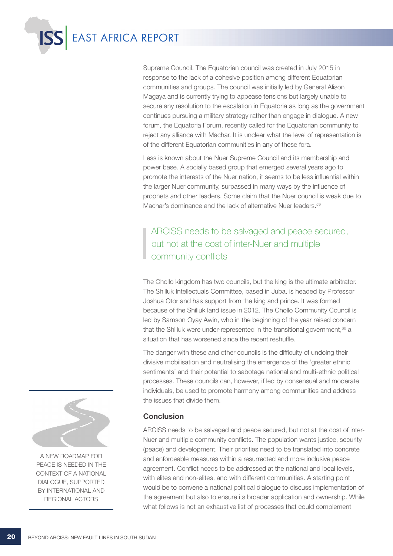

Supreme Council. The Equatorian council was created in July 2015 in response to the lack of a cohesive position among different Equatorian communities and groups. The council was initially led by General Alison Magaya and is currently trying to appease tensions but largely unable to secure any resolution to the escalation in Equatoria as long as the government continues pursuing a military strategy rather than engage in dialogue. A new forum, the Equatoria Forum, recently called for the Equatorian community to reject any alliance with Machar. It is unclear what the level of representation is of the different Equatorian communities in any of these fora.

Less is known about the Nuer Supreme Council and its membership and power base. A socially based group that emerged several years ago to promote the interests of the Nuer nation, it seems to be less influential within the larger Nuer community, surpassed in many ways by the influence of prophets and other leaders. Some claim that the Nuer council is weak due to Machar's dominance and the lack of alternative Nuer leaders.<sup>59</sup>

ARCISS needs to be salvaged and peace secured, but not at the cost of inter-Nuer and multiple community conflicts

The Chollo kingdom has two councils, but the king is the ultimate arbitrator. The Shilluk Intellectuals Committee, based in Juba, is headed by Professor Joshua Otor and has support from the king and prince. It was formed because of the Shilluk land issue in 2012. The Chollo Community Council is led by Samson Oyay Awin, who in the beginning of the year raised concern that the Shilluk were under-represented in the transitional government.<sup>60</sup> a situation that has worsened since the recent reshuffle.

The danger with these and other councils is the difficulty of undoing their divisive mobilisation and neutralising the emergence of the 'greater ethnic sentiments' and their potential to sabotage national and multi-ethnic political processes. These councils can, however, if led by consensual and moderate individuals, be used to promote harmony among communities and address the issues that divide them.

### **Conclusion**

ARCISS needs to be salvaged and peace secured, but not at the cost of inter-Nuer and multiple community conflicts. The population wants justice, security (peace) and development. Their priorities need to be translated into concrete and enforceable measures within a resurrected and more inclusive peace agreement. Conflict needs to be addressed at the national and local levels, with elites and non-elites, and with different communities. A starting point would be to convene a national political dialogue to discuss implementation of the agreement but also to ensure its broader application and ownership. While what follows is not an exhaustive list of processes that could complement



A new roadmap for peace is needed in the context of a national dialogue, supported by international and regional actors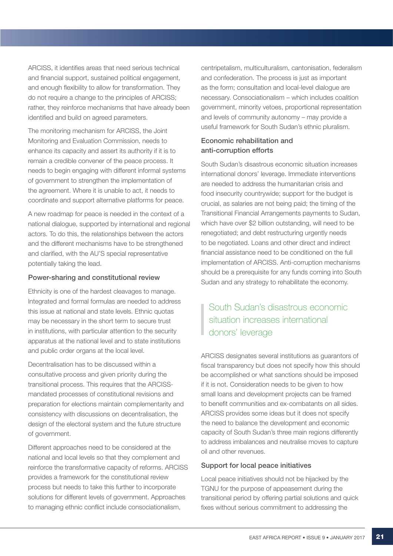ARCISS, it identifies areas that need serious technical and financial support, sustained political engagement, and enough flexibility to allow for transformation. They do not require a change to the principles of ARCISS; rather, they reinforce mechanisms that have already been identified and build on agreed parameters.

The monitoring mechanism for ARCISS, the Joint Monitoring and Evaluation Commission, needs to enhance its capacity and assert its authority if it is to remain a credible convener of the peace process. It needs to begin engaging with different informal systems of government to strengthen the implementation of the agreement. Where it is unable to act, it needs to coordinate and support alternative platforms for peace.

A new roadmap for peace is needed in the context of a national dialogue, supported by international and regional actors. To do this, the relationships between the actors and the different mechanisms have to be strengthened and clarified, with the AU'S special representative potentially taking the lead.

### Power-sharing and constitutional review

Ethnicity is one of the hardest cleavages to manage. Integrated and formal formulas are needed to address this issue at national and state levels. Ethnic quotas may be necessary in the short term to secure trust in institutions, with particular attention to the security apparatus at the national level and to state institutions and public order organs at the local level.

Decentralisation has to be discussed within a consultative process and given priority during the transitional process. This requires that the ARCISSmandated processes of constitutional revisions and preparation for elections maintain complementarity and consistency with discussions on decentralisation, the design of the electoral system and the future structure of government.

Different approaches need to be considered at the national and local levels so that they complement and reinforce the transformative capacity of reforms. ARCISS provides a framework for the constitutional review process but needs to take this further to incorporate solutions for different levels of government. Approaches to managing ethnic conflict include consociationalism,

centripetalism, multiculturalism, cantonisation, federalism and confederation. The process is just as important as the form; consultation and local-level dialogue are necessary. Consociationalism – which includes coalition government, minority vetoes, proportional representation and levels of community autonomy – may provide a useful framework for South Sudan's ethnic pluralism.

### Economic rehabilitation and anti-corruption efforts

South Sudan's disastrous economic situation increases international donors' leverage. Immediate interventions are needed to address the humanitarian crisis and food insecurity countrywide; support for the budget is crucial, as salaries are not being paid; the timing of the Transitional Financial Arrangements payments to Sudan, which have over \$2 billion outstanding, will need to be renegotiated; and debt restructuring urgently needs to be negotiated. Loans and other direct and indirect financial assistance need to be conditioned on the full implementation of ARCISS. Anti-corruption mechanisms should be a prerequisite for any funds coming into South Sudan and any strategy to rehabilitate the economy.

### South Sudan's disastrous economic situation increases international donors' leverage

ARCISS designates several institutions as guarantors of fiscal transparency but does not specify how this should be accomplished or what sanctions should be imposed if it is not. Consideration needs to be given to how small loans and development projects can be framed to benefit communities and ex-combatants on all sides. ARCISS provides some ideas but it does not specify the need to balance the development and economic capacity of South Sudan's three main regions differently to address imbalances and neutralise moves to capture oil and other revenues.

### Support for local peace initiatives

Local peace initiatives should not be hijacked by the TGNU for the purpose of appeasement during the transitional period by offering partial solutions and quick fixes without serious commitment to addressing the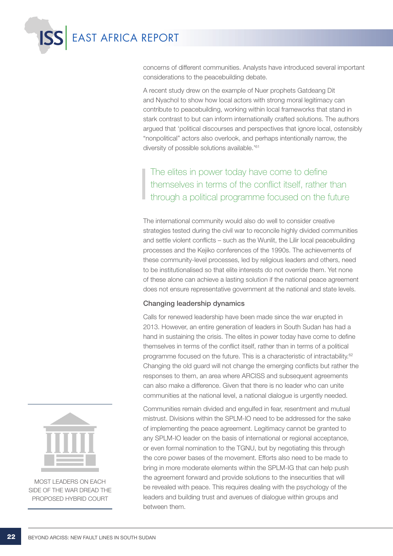

concerns of different communities. Analysts have introduced several important considerations to the peacebuilding debate.

A recent study drew on the example of Nuer prophets Gatdeang Dit and Nyachol to show how local actors with strong moral legitimacy can contribute to peacebuilding, working within local frameworks that stand in stark contrast to but can inform internationally crafted solutions. The authors argued that 'political discourses and perspectives that ignore local, ostensibly "nonpolitical" actors also overlook, and perhaps intentionally narrow, the diversity of possible solutions available.'61

### The elites in power today have come to define themselves in terms of the conflict itself, rather than through a political programme focused on the future

The international community would also do well to consider creative strategies tested during the civil war to reconcile highly divided communities and settle violent conflicts – such as the Wunlit, the Lilir local peacebuilding processes and the Kejiko conferences of the 1990s. The achievements of these community-level processes, led by religious leaders and others, need to be institutionalised so that elite interests do not override them. Yet none of these alone can achieve a lasting solution if the national peace agreement does not ensure representative government at the national and state levels.

### Changing leadership dynamics

Calls for renewed leadership have been made since the war erupted in 2013. However, an entire generation of leaders in South Sudan has had a hand in sustaining the crisis. The elites in power today have come to define themselves in terms of the conflict itself, rather than in terms of a political programme focused on the future. This is a characteristic of intractability.<sup>62</sup> Changing the old guard will not change the emerging conflicts but rather the responses to them, an area where ARCISS and subsequent agreements can also make a difference. Given that there is no leader who can unite communities at the national level, a national dialogue is urgently needed.

Communities remain divided and engulfed in fear, resentment and mutual mistrust. Divisions within the SPLM-IO need to be addressed for the sake of implementing the peace agreement. Legitimacy cannot be granted to any SPLM-IO leader on the basis of international or regional acceptance, or even formal nomination to the TGNU, but by negotiating this through the core power bases of the movement. Efforts also need to be made to bring in more moderate elements within the SPLM-IG that can help push the agreement forward and provide solutions to the insecurities that will be revealed with peace. This requires dealing with the psychology of the leaders and building trust and avenues of dialogue within groups and between them.



Most leaders on each side of the war dread the proposed hybrid court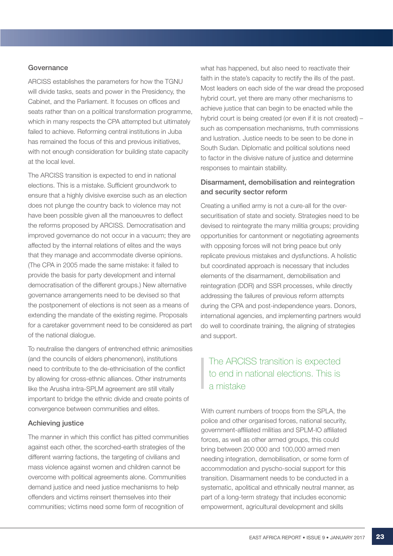#### **Governance**

ARCISS establishes the parameters for how the TGNU will divide tasks, seats and power in the Presidency, the Cabinet, and the Parliament. It focuses on offices and seats rather than on a political transformation programme, which in many respects the CPA attempted but ultimately failed to achieve. Reforming central institutions in Juba has remained the focus of this and previous initiatives, with not enough consideration for building state capacity at the local level.

The ARCISS transition is expected to end in national elections. This is a mistake. Sufficient groundwork to ensure that a highly divisive exercise such as an election does not plunge the country back to violence may not have been possible given all the manoeuvres to deflect the reforms proposed by ARCISS. Democratisation and improved governance do not occur in a vacuum; they are affected by the internal relations of elites and the ways that they manage and accommodate diverse opinions. (The CPA in 2005 made the same mistake: it failed to provide the basis for party development and internal democratisation of the different groups.) New alternative governance arrangements need to be devised so that the postponement of elections is not seen as a means of extending the mandate of the existing regime. Proposals for a caretaker government need to be considered as part of the national dialogue.

To neutralise the dangers of entrenched ethnic animosities (and the councils of elders phenomenon), institutions need to contribute to the de-ethnicisation of the conflict by allowing for cross-ethnic alliances. Other instruments like the Arusha intra-SPLM agreement are still vitally important to bridge the ethnic divide and create points of convergence between communities and elites.

### Achieving justice

The manner in which this conflict has pitted communities against each other, the scorched-earth strategies of the different warring factions, the targeting of civilians and mass violence against women and children cannot be overcome with political agreements alone. Communities demand justice and need justice mechanisms to help offenders and victims reinsert themselves into their communities; victims need some form of recognition of

what has happened, but also need to reactivate their faith in the state's capacity to rectify the ills of the past. Most leaders on each side of the war dread the proposed hybrid court, yet there are many other mechanisms to achieve justice that can begin to be enacted while the hybrid court is being created (or even if it is not created) – such as compensation mechanisms, truth commissions and lustration. Justice needs to be seen to be done in South Sudan. Diplomatic and political solutions need to factor in the divisive nature of justice and determine responses to maintain stability.

### Disarmament, demobilisation and reintegration and security sector reform

Creating a unified army is not a cure-all for the oversecuritisation of state and society. Strategies need to be devised to reintegrate the many militia groups; providing opportunities for cantonment or negotiating agreements with opposing forces will not bring peace but only replicate previous mistakes and dysfunctions. A holistic but coordinated approach is necessary that includes elements of the disarmament, demobilisation and reintegration (DDR) and SSR processes, while directly addressing the failures of previous reform attempts during the CPA and post-independence years. Donors, international agencies, and implementing partners would do well to coordinate training, the aligning of strategies and support.

### The ARCISS transition is expected to end in national elections. This is a mistake

With current numbers of troops from the SPLA, the police and other organised forces, national security, government-affiliated militias and SPLM-IO affiliated forces, as well as other armed groups, this could bring between 200 000 and 100,000 armed men needing integration, demobilisation, or some form of accommodation and pyscho-social support for this transition. Disarmament needs to be conducted in a systematic, apolitical and ethnically neutral manner, as part of a long-term strategy that includes economic empowerment, agricultural development and skills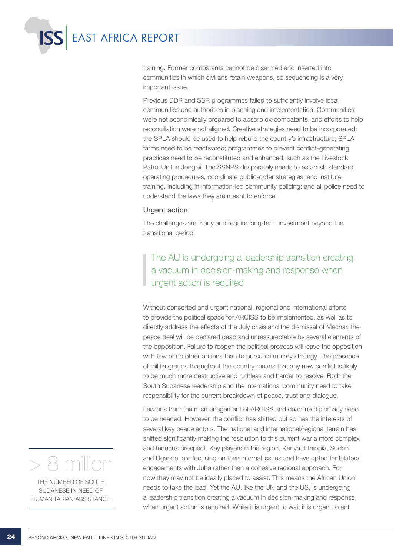

training. Former combatants cannot be disarmed and inserted into communities in which civilians retain weapons, so sequencing is a very important issue.

Previous DDR and SSR programmes failed to sufficiently involve local communities and authorities in planning and implementation. Communities were not economically prepared to absorb ex-combatants, and efforts to help reconciliation were not aligned. Creative strategies need to be incorporated: the SPLA should be used to help rebuild the country's infrastructure; SPLA farms need to be reactivated; programmes to prevent conflict-generating practices need to be reconstituted and enhanced, such as the Livestock Patrol Unit in Jonglei. The SSNPS desperately needs to establish standard operating procedures, coordinate public-order strategies, and institute training, including in information-led community policing; and all police need to understand the laws they are meant to enforce.

#### Urgent action

The challenges are many and require long-term investment beyond the transitional period.

The AU is undergoing a leadership transition creating a vacuum in decision-making and response when urgent action is required

Without concerted and urgent national, regional and international efforts to provide the political space for ARCISS to be implemented, as well as to directly address the effects of the July crisis and the dismissal of Machar, the peace deal will be declared dead and unressurectable by several elements of the opposition. Failure to reopen the political process will leave the opposition with few or no other options than to pursue a military strategy. The presence of militia groups throughout the country means that any new conflict is likely to be much more destructive and ruthless and harder to resolve. Both the South Sudanese leadership and the international community need to take responsibility for the current breakdown of peace, trust and dialogue.

Lessons from the mismanagement of ARCISS and deadline diplomacy need to be headed. However, the conflict has shifted but so has the interests of several key peace actors. The national and international/regional terrain has shifted significantly making the resolution to this current war a more complex and tenuous prospect. Key players in the region, Kenya, Ethiopia, Sudan and Uganda, are focusing on their internal issues and have opted for bilateral engagements with Juba rather than a cohesive regional approach. For now they may not be ideally placed to assist. This means the African Union needs to take the lead. Yet the AU, like the UN and the US, is undergoing a leadership transition creating a vacuum in decision-making and response when urgent action is required. While it is urgent to wait it is urgent to act



THE NUMBER OF SOUTH Sudanese in need of humanitarian assistance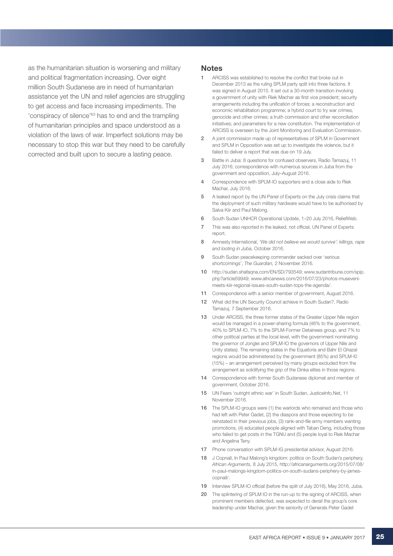as the humanitarian situation is worsening and military and political fragmentation increasing. Over eight million South Sudanese are in need of humanitarian assistance yet the UN and relief agencies are struggling to get access and face increasing impediments. The 'conspiracy of silence'63 has to end and the trampling of humanitarian principles and space understood as a violation of the laws of war. Imperfect solutions may be necessary to stop this war but they need to be carefully corrected and built upon to secure a lasting peace.

#### **Notes**

- 1 ARCISS was established to resolve the conflict that broke out in December 2013 as the ruling SPLM party split into three factions. It was signed in August 2015. It set out a 30-month transition involving a government of unity with Riek Machar as first vice president; security arrangements including the unification of forces; a reconstruction and economic rehabilitation programme; a hybrid court to try war crimes, genocide and other crimes; a truth commission and other reconciliation initiatives; and parameters for a new constitution. The implementation of ARCISS is overseen by the Joint Monitoring and Evaluation Commission.
- 2 A joint commission made up of representatives of SPLM in Government and SPLM in Opposition was set up to investigate the violence, but it failed to deliver a report that was due on 19 July.
- 3 Battle in Juba: 8 questions for confused observers, Radio Tamazui, 11 July 2016; correspondence with numerous sources in Juba from the government and opposition, July–August 2016.
- 4 Correspondence with SPLM-IO supporters and a close aide to Riek Machar, July 2016.
- 5 A leaked report by the UN Panel of Experts on the July crisis claims that the deployment of such military hardware would have to be authorised by Salva Kiir and Paul Malong.
- 6 South Sudan UNHCR Operational Update, 1–20 July 2016, ReliefWeb.
- 7 This was also reported in the leaked, not official, UN Panel of Experts report.
- 8 Amnesty International, *'We did not believe we would survive': killings, rape and looting in Juba,* October 2016.
- 9 South Sudan peacekeeping commander sacked over 'serious shortcomings', *The Guardian,* 2 November 2016.
- 10 http://sudan.shafaqna.com/EN/SD/793549; www.sudantribune.com/spip. php?article59949; www.africanews.com/2016/07/23/photos-musevenimeets-kiir-regional-issues-south-sudan-tops-the-agenda/.
- 11 Correspondence with a senior member of government, August 2016.
- 12 What did the UN Security Council achieve in South Sudan?, Radio Tamazuj, 7 September 2016.
- 13 Under ARCISS, the three former states of the Greater Upper Nile region would be managed in a power-sharing formula (46% to the government, 40% to SPLM-IO, 7% to the SPLM-Former Detainees group, and 7% to other political parties at the local level, with the government nominating the governor of Jonglei and SPLM-IO the governors of Upper Nile and Unity states). The remaining states in the Equatoria and Bahr El Ghazal regions would be administered by the government (85%) and SPLM-I0 (15%) – an arrangement perceived by many groups excluded from the arrangement as solidifying the grip of the Dinka elites in those regions.
- 14 Correspondence with former South Sudanese diplomat and member of government, October 2016.
- 15 UN Fears 'outright ethnic war' in South Sudan, JusticeInfo.Net, 11 November 2016.
- 16 The SPLM-IO groups were (1) the warlords who remained and those who had left with Peter Gadet, (2) the diaspora and those expecting to be reinstated in their previous jobs, (3) rank-and-file army members wanting promotions, (4) educated people aligned with Taban Deng, including those who failed to get posts in the TGNU and (5) people loyal to Riek Machar and Angelina Teny.
- 17 Phone conversation with SPLM-IG presidential advisor, August 2016.
- 18 J Copnall, In Paul Malong's kingdom: politics on South Sudan's periphery, *African Arguments,* 8 July 2015, http://africanarguments.org/2015/07/08/ in-paul-malongs-kingdom-politics-on-south-sudans-periphery-by-jamescopnall/.
- 19 Interview SPLM-IO official (before the split of July 2016), May 2016, Juba.
- 20 The splintering of SPLM IO in the run-up to the signing of ARCISS, when prominent members defected, was expected to derail the group's core leadership under Machar, given the seniority of Generals Peter Gadet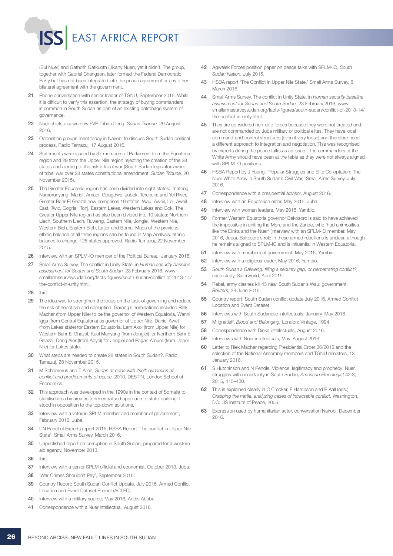(Bul Nuer) and Gathoth Gatkuoth (Jikany Nuer), yet it didn't. The group, together with Gabriel Changson, later formed the Federal Democratic Party but has not been integrated into the peace agreement or any other bilateral agreement with the government.

EAST AFRICA REPORT

- 21 Phone conversation with senior leader of TGNU, September 2016. While it is difficult to verify this assertion, the strategy of buying commanders is common in South Sudan as part of an existing patronage system of governance.
- 22 Nuer chiefs disown new FVP Taban Deng, *Sudan Tribune,* 29 August 2016.
- 23 Opposition groups meet today in Nairobi to discuss South Sudan political process, Radio Tamazuj, 17 August 2016.
- 24 Statements were issued by 37 members of Parliament from the Equatoria region and 29 from the Upper Nile region rejecting the creation of the 28 states and alerting to the risk a tribal war (South Sudan legislators warn of tribal war over 28 states constitutional amendment, *Sudan Tribune,* 20 November 2015).
- 25 The Greater Equatoria region has been divided into eight states: Imatong, Namorunyang, Maridi, Amadi, Gbugdwe, Jubek, Terekeka and Yei River. Greater Bahr El Ghazal now comprises 10 states: Wau, Aweil, Lol, Aweil East, Twic, Gogrial, Tonj, Eastern Lakes, Western Lakes and Gok. The Greater Upper Nile region has also been divided into 10 states: Northern Liech, Southern Liech, Ruweng, Eastern Nile, Jonglei, Western Nile, Western Bieh, Eastern Bieh, Latjor and Boma. Maps of the previous ethnic balance of all three regions can be found in Map Analysis: ethnic balance to change if 28 states approved, Radio Tamazuj, 22 November 2015.
- 26 Interview with an SPLM-IO member of the Political Bureau, January 2016.
- 27 Small Arms Survey, The conflict in Unity State, in *Human security baseline assessment for Sudan and South Sudan,* 23 February 2016, www. smallarmssurveysudan.org/facts-figures/south-sudan/conflict-of-2013-14/ the-conflict-in-unity.html.
- 28
- 29 The idea was to strengthen the focus on the task of governing and reduce the risk of nepotism and corruption. Garang's nominations included Riek Machar (from Upper Nile) to be the governor of Western Equatoria, Wanni Igga (from Central Equatoria) as governor of Upper Nile, Daniel Awet (from Lakes state) for Eastern Equatoria, Lam Akol (from Upper Nile) for Western Bahr El Ghazal, Kuol Manyang (from Jonglei) for Northern Bahr El Ghazal, Deng Alor (from Abyei) for Jonglei and Pagan Amum (from Upper Nile) for Lakes state.
- 30 What steps are needed to create 28 states in South Sudan?, Radio Tamazuj, 28 November 2015.
- 31 M Schomerus and T Allen, *Sudan at odds with itself: dynamics of conflict and predicaments of peace,* 2010, DESTIN, London School of Economics.
- 32 This approach was developed in the 1990s in the context of Somalia to stabilise area by area as a decentralised approach to state-building. It stood in opposition to the top-down solutions.
- 33 Interview with a veteran SPLM member and member of government, February 2012, Juba.
- 34 UN Panel of Experts report 2015; HSBA Report 'The conflict in Upper Nile State', Small Arms Survey, March 2016.
- 35 Unpublished report on corruption in South Sudan, prepared for a western aid agency, November 2013.
- 36 Ibid.
- 37 Interview with a senior SPLM official and economist, October 2013, Juba.
- 38 'War Crimes Shouldn't Pay', September 2016.
- 39 Country Report: South Sudan Conflict Update, July 2016, Armed Conflict Location and Event Dataset Project (ACLED).
- 40 Interview with a military source, May 2016, Addis Ababa.
- 41 Correspondence with a Nuer intellectual, August 2016.
- 42 Agwelek Forces position paper on peace talks with SPLM-IO, *South Sudan Nation,* July 2015.
- 43 HSBA report 'The Conflict in Upper Nile State,' Small Arms Survey, 8 March 2016.
- 44 Small Arms Survey, The conflict in Unity State, in *Human security baseline assessment for Sudan and South Sudan,* 23 February 2016, www. smallarmssurveysudan.org/facts-figures/south-sudan/conflict-of-2013-14/ the-conflict-in-unity.html.
- 45 They are considered non-elite forces because they were not created and are not commanded by Juba military or political elites. They have local command-and-control structures (even if very loose) and therefore need a different approach to integration and negotiation. This was recognised by experts during the peace talks as an issue – the commanders of the White Army should have been at the table as they were not always aligned with SPLM-IO positions.
- 46 HSBA Report by J Young, 'Popular Struggles and Elite Co-optation: The Nuer White Army in South Sudan's Civil War,' Small Arms Survey, July 2016.
- 47 Correspondence with a presidential advisor, August 2016.
- 48 Interview with an Equatorian elder, May 2016, Juba.
- 49 Interview with women leaders, May 2016, Yambio.
- 50 Former Western Equatoria governor Bakosoro is said to have achieved the impossible in uniting the Moru and the Zande, who 'had animosities like the Dinka and the Nuer' (interview with an SPLM-IO member, May 2016, Juba). Bakosoro's role in these armed rebellions is unclear, although he remains aligned to SPLM-IO and is influential in Western Equatoria.
- 51 Interview with members of government, May 2016, Yambio.
- 52 Interview with a religious leader, May 2016, Yambio.
- 53 *South Sudan's Galweng: filling a security gap, or perpetrating conflict?,* case study, Saferworld, April 2015.
- 54 Rebel, army clashes kill 43 near South Sudan's Wau: government, *Reuters,* 28 June 2016.
- 55 Country report: South Sudan conflict update July 2016, Armed Conflict Location and Event Dataset.
- 56 Interviews with South Sudanese intellectuals, January–May 2016.
- 57 M Ignatieff, *Blood and Belonging,* London: Vintage, 1994.
- 58 Correspondence with Dinka intellectuals, August 2016.
- 59 Interviews with Nuer intellectuals, May–August 2016.
- 60 Letter to Riek Machar regarding Presidential Order 36/2015 and the selection of the National Assembly members and TGNU ministers, 13 January 2016.
- 61 S Hutchinson and N Pendle, Violence, legitimacy and prophecy: Nuer struggles with uncertainty in South Sudan, *American Ethnologist* 42:3, 2015, 415–430.
- 62 This is explained clearly in C Crocker, F Hampson and P Aall (eds.), *Grasping the nettle, analyzing cases of intractable conflict,* Washington, DC: US Institute of Peace, 2005.
- 63 Expression used by humanitarian actor, conversation Nairobi, December 2016.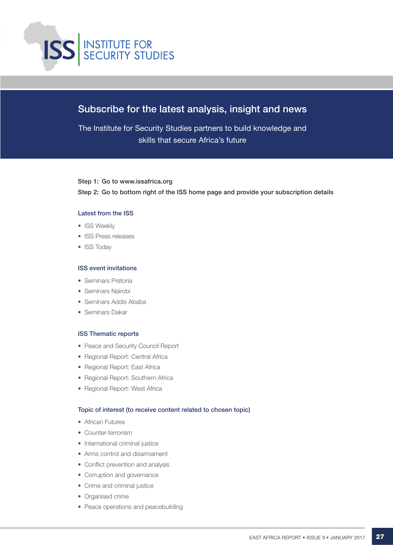

### Subscribe for the latest analysis, insight and news

The Institute for Security Studies partners to build knowledge and skills that secure Africa's future

#### Step 1: Go to www.issafrica.org

Step 2: Go to bottom right of the ISS home page and provide your subscription details

#### Latest from the ISS

- ISS Weekly
- ISS Press releases
- ISS Todav

#### ISS event invitations

- • Seminars Pretoria
- Seminars Nairobi
- Seminars Addis Ababa
- Seminars Dakar

#### ISS Thematic reports

- Peace and Security Council Report
- Regional Report: Central Africa
- Regional Report: East Africa
- Regional Report: Southern Africa
- Regional Report: West Africa

#### Topic of interest (to receive content related to chosen topic)

- African Futures
- Counter-terrorism
- • International criminal justice
- Arms control and disarmament
- Conflict prevention and analysis
- Corruption and governance
- Crime and criminal justice
- Organised crime
- Peace operations and peacebuilding